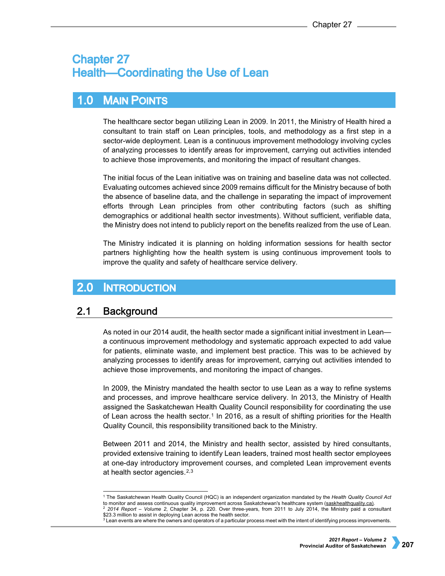# **Chapter 27 Health-Coordinating the Use of Lean**

# $1.0$ **MAIN POINTS**

The healthcare sector began utilizing Lean in 2009. In 2011, the Ministry of Health hired a consultant to train staff on Lean principles, tools, and methodology as a first step in a sector-wide deployment. Lean is a continuous improvement methodology involving cycles of analyzing processes to identify areas for improvement, carrying out activities intended to achieve those improvements, and monitoring the impact of resultant changes.

The initial focus of the Lean initiative was on training and baseline data was not collected. Evaluating outcomes achieved since 2009 remains difficult for the Ministry because of both the absence of baseline data, and the challenge in separating the impact of improvement efforts through Lean principles from other contributing factors (such as shifting demographics or additional health sector investments). Without sufficient, verifiable data, the Ministry does not intend to publicly report on the benefits realized from the use of Lean.

The Ministry indicated it is planning on holding information sessions for health sector partners highlighting how the health system is using continuous improvement tools to improve the quality and safety of healthcare service delivery.

# $2.0$ **INTRODUCTION**

#### $2.1$ **Background**

As noted in our 2014 audit, the health sector made a significant initial investment in Lean a continuous improvement methodology and systematic approach expected to add value for patients, eliminate waste, and implement best practice. This was to be achieved by analyzing processes to identify areas for improvement, carrying out activities intended to achieve those improvements, and monitoring the impact of changes.

In 2009, the Ministry mandated the health sector to use Lean as a way to refine systems and processes, and improve healthcare service delivery. In 2013, the Ministry of Health assigned the Saskatchewan Health Quality Council responsibility for coordinating the use of Lean across the health sector.<sup>[1](#page-0-0)</sup> In 2016, as a result of shifting priorities for the Health Quality Council, this responsibility transitioned back to the Ministry.

Between 2011 and 2014, the Ministry and health sector, assisted by hired consultants, provided extensive training to identify Lean leaders, trained most health sector employees at one-day introductory improvement courses, and completed Lean improvement events at health sector agencies.[2](#page-0-1),[3](#page-0-2)

<span id="page-0-1"></span><span id="page-0-0"></span> <sup>1</sup> The Saskatchewan Health Quality Council (HQC) is an independent organization mandated by the *[Health Quality Council Act](https://pubsaskdev.blob.core.windows.net/pubsask-prod/740/H0-04.pdf)* to monitor and assess continuous quality improvement across Saskatchewan's healthcare system [\(saskhealthquality.ca\).](https://www.saskhealthquality.ca/about-us/health-quality-council-purpose-role/) <sup>2</sup> *2014 Report – Volume 2*, Chapter 34, p. 220. Over three-years, from 2011 to July 2014, the Ministry paid a consultant \$23.3 million to assist in deploying Lean across the health sector.

<span id="page-0-2"></span> $3$  Lean events are where the owners and operators of a particular process meet with the intent of identifying process improvements.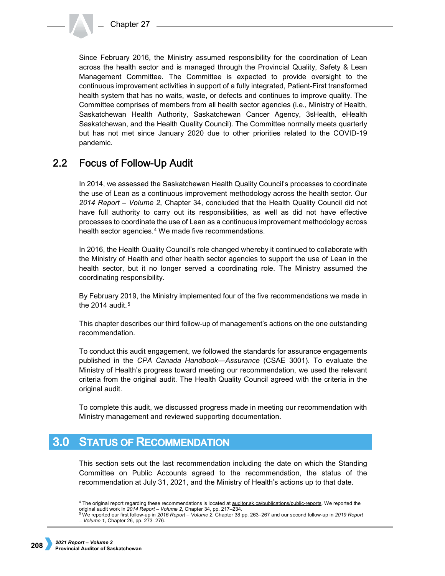Since February 2016, the Ministry assumed responsibility for the coordination of Lean across the health sector and is managed through the Provincial Quality, Safety & Lean Management Committee. The Committee is expected to provide oversight to the continuous improvement activities in support of a fully integrated, Patient-First transformed health system that has no waits, waste, or defects and continues to improve quality. The Committee comprises of members from all health sector agencies (i.e., Ministry of Health, Saskatchewan Health Authority, Saskatchewan Cancer Agency, 3sHealth, eHealth Saskatchewan, and the Health Quality Council). The Committee normally meets quarterly but has not met since January 2020 due to other priorities related to the COVID-19 pandemic.

### $2.2$ **Focus of Follow-Up Audit**

In 2014, we assessed the Saskatchewan Health Quality Council's processes to coordinate the use of Lean as a continuous improvement methodology across the health sector. Our *2014 Report – Volume 2*, Chapter 34, concluded that the Health Quality Council did not have full authority to carry out its responsibilities, as well as did not have effective processes to coordinate the use of Lean as a continuous improvement methodology across health sector agencies.<sup>[4](#page-1-0)</sup> We made five recommendations.

In 2016, the Health Quality Council's role changed whereby it continued to collaborate with the Ministry of Health and other health sector agencies to support the use of Lean in the health sector, but it no longer served a coordinating role. The Ministry assumed the coordinating responsibility.

By February 2019, the Ministry implemented four of the five recommendations we made in the 2014 audit. $5$ 

This chapter describes our third follow-up of management's actions on the one outstanding recommendation.

To conduct this audit engagement, we followed the standards for assurance engagements published in the *CPA Canada Handbook—Assurance* (CSAE 3001). To evaluate the Ministry of Health's progress toward meeting our recommendation, we used the relevant criteria from the original audit. The Health Quality Council agreed with the criteria in the original audit.

To complete this audit, we discussed progress made in meeting our recommendation with Ministry management and reviewed supporting documentation.

# $3.0$ **STATUS OF RECOMMENDATION**

This section sets out the last recommendation including the date on which the Standing Committee on Public Accounts agreed to the recommendation, the status of the recommendation at July 31, 2021, and the Ministry of Health's actions up to that date.

<span id="page-1-1"></span><sup>5</sup> We reported our first follow-up in *2016 Report – Volume 2*, Chapter 38 pp. 263–267 and our second follow-up in *2019 Report – Volume 1*, Chapter 26, pp. 273–276.

<span id="page-1-0"></span><sup>&</sup>lt;sup>4</sup> The original report regarding these recommendations is located a[t auditor.sk.ca/publications/public-reports.](http://www.auditor.sk.ca/publications/public-reports) We reported the original audit work in *2014 Report – Volume 2*, Chapter 34, pp. 217–234.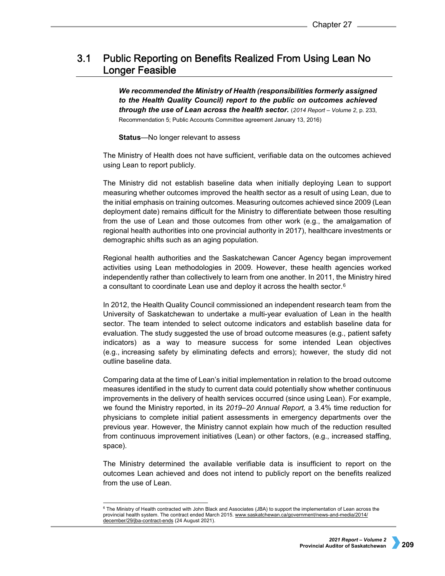# Public Reporting on Benefits Realized From Using Lean No  $3.1$ **Longer Feasible**

*We recommended the Ministry of Health (responsibilities formerly assigned to the Health Quality Council) report to the public on outcomes achieved through the use of Lean across the health sector.* (*2014 Report – Volume 2*, p. 233, Recommendation 5; Public Accounts Committee agreement January 13, 2016)

**Status**—No longer relevant to assess

The Ministry of Health does not have sufficient, verifiable data on the outcomes achieved using Lean to report publicly.

The Ministry did not establish baseline data when initially deploying Lean to support measuring whether outcomes improved the health sector as a result of using Lean, due to the initial emphasis on training outcomes. Measuring outcomes achieved since 2009 (Lean deployment date) remains difficult for the Ministry to differentiate between those resulting from the use of Lean and those outcomes from other work (e.g., the amalgamation of regional health authorities into one provincial authority in 2017), healthcare investments or demographic shifts such as an aging population.

Regional health authorities and the Saskatchewan Cancer Agency began improvement activities using Lean methodologies in 2009. However, these health agencies worked independently rather than collectively to learn from one another. In 2011, the Ministry hired a consultant to coordinate Lean use and deploy it across the health sector.[6](#page-2-0)

In 2012, the Health Quality Council commissioned an independent research team from the University of Saskatchewan to undertake a multi-year evaluation of Lean in the health sector. The team intended to select outcome indicators and establish baseline data for evaluation. The study suggested the use of broad outcome measures (e.g., patient safety indicators) as a way to measure success for some intended Lean objectives (e.g., increasing safety by eliminating defects and errors); however, the study did not outline baseline data.

Comparing data at the time of Lean's initial implementation in relation to the broad outcome measures identified in the study to current data could potentially show whether continuous improvements in the delivery of health services occurred (since using Lean). For example, we found the Ministry reported, in its *2019–20 Annual Report,* a 3.4% time reduction for physicians to complete initial patient assessments in emergency departments over the previous year. However, the Ministry cannot explain how much of the reduction resulted from continuous improvement initiatives (Lean) or other factors, (e.g., increased staffing, space).

The Ministry determined the available verifiable data is insufficient to report on the outcomes Lean achieved and does not intend to publicly report on the benefits realized from the use of Lean.

<span id="page-2-0"></span><sup>&</sup>lt;sup>6</sup> The Ministry of Health contracted with John Black and Associates (JBA) to support the implementation of Lean across the provincial health system. The contract ended March 2015. [www.saskatchewan.ca/government/news-and-media/2014/](http://www.saskatchewan.ca/government/news-and-media/2014/december/29/jba-contract-ends)  [december/29/jba-contract-ends](http://www.saskatchewan.ca/government/news-and-media/2014/december/29/jba-contract-ends) (24 August 2021).